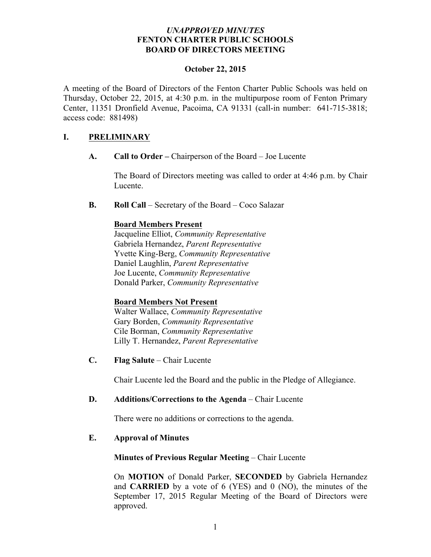## *UNAPPROVED MINUTES* **FENTON CHARTER PUBLIC SCHOOLS BOARD OF DIRECTORS MEETING**

#### **October 22, 2015**

A meeting of the Board of Directors of the Fenton Charter Public Schools was held on Thursday, October 22, 2015, at 4:30 p.m. in the multipurpose room of Fenton Primary Center, 11351 Dronfield Avenue, Pacoima, CA 91331 (call-in number: 641-715-3818; access code: 881498)

## **I. PRELIMINARY**

**A. Call to Order –** Chairperson of the Board – Joe Lucente

The Board of Directors meeting was called to order at 4:46 p.m. by Chair Lucente.

**B. Roll Call** – Secretary of the Board – Coco Salazar

## **Board Members Present**

Jacqueline Elliot, *Community Representative* Gabriela Hernandez, *Parent Representative* Yvette King-Berg, *Community Representative* Daniel Laughlin, *Parent Representative* Joe Lucente, *Community Representative* Donald Parker, *Community Representative*

## **Board Members Not Present**

Walter Wallace, *Community Representative*  Gary Borden, *Community Representative* Cile Borman, *Community Representative* Lilly T. Hernandez, *Parent Representative*

**C. Flag Salute** – Chair Lucente

Chair Lucente led the Board and the public in the Pledge of Allegiance.

## **D. Additions/Corrections to the Agenda** – Chair Lucente

There were no additions or corrections to the agenda.

## **E. Approval of Minutes**

## **Minutes of Previous Regular Meeting – Chair Lucente**

On **MOTION** of Donald Parker, **SECONDED** by Gabriela Hernandez and **CARRIED** by a vote of 6 (YES) and 0 (NO), the minutes of the September 17, 2015 Regular Meeting of the Board of Directors were approved.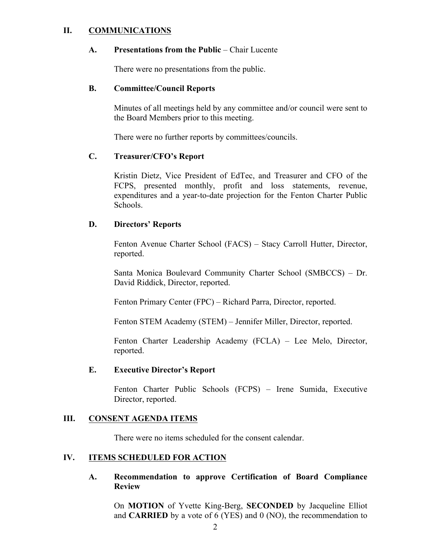## **II. COMMUNICATIONS**

#### **A. Presentations from the Public** – Chair Lucente

There were no presentations from the public.

#### **B. Committee/Council Reports**

Minutes of all meetings held by any committee and/or council were sent to the Board Members prior to this meeting.

There were no further reports by committees/councils.

## **C. Treasurer/CFO's Report**

Kristin Dietz, Vice President of EdTec, and Treasurer and CFO of the FCPS, presented monthly, profit and loss statements, revenue, expenditures and a year-to-date projection for the Fenton Charter Public Schools.

## **D. Directors' Reports**

Fenton Avenue Charter School (FACS) – Stacy Carroll Hutter, Director, reported.

Santa Monica Boulevard Community Charter School (SMBCCS) – Dr. David Riddick, Director, reported.

Fenton Primary Center (FPC) – Richard Parra, Director, reported.

Fenton STEM Academy (STEM) – Jennifer Miller, Director, reported.

Fenton Charter Leadership Academy (FCLA) – Lee Melo, Director, reported.

#### **E. Executive Director's Report**

Fenton Charter Public Schools (FCPS) – Irene Sumida, Executive Director, reported.

#### **III. CONSENT AGENDA ITEMS**

There were no items scheduled for the consent calendar.

## **IV. ITEMS SCHEDULED FOR ACTION**

**A. Recommendation to approve Certification of Board Compliance Review**

On **MOTION** of Yvette King-Berg, **SECONDED** by Jacqueline Elliot and **CARRIED** by a vote of 6 (YES) and 0 (NO), the recommendation to